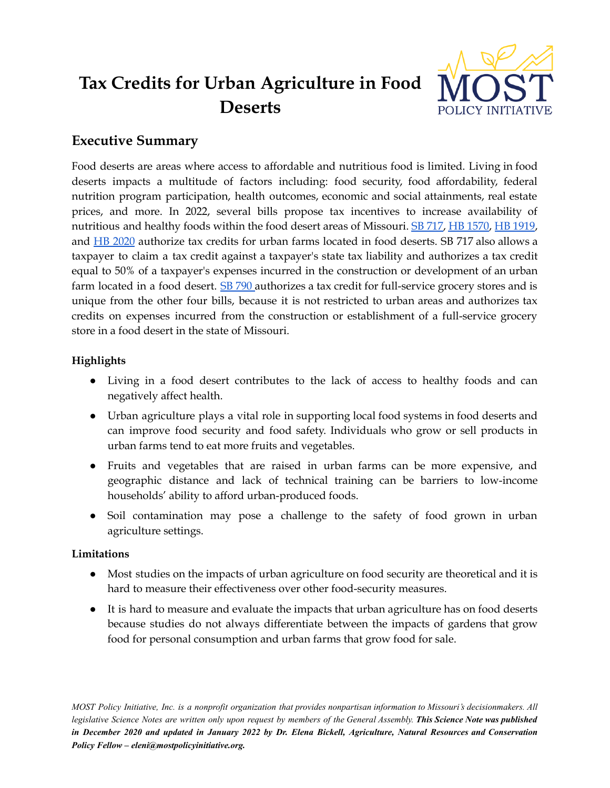# **Tax Credits for Urban Agriculture in Food Deserts**



## **Executive Summary**

Food deserts are areas where access to affordable and nutritious food is limited. Living in food deserts impacts a multitude of factors including: food security, food affordability, federal nutrition program participation, health outcomes, economic and social attainments, real estate prices, and more. In 2022, several bills propose tax incentives to increase availability of nutritious and healthy foods within the food desert areas of Missouri. SB [717,](https://www.senate.mo.gov/22info/BTS_Web/Bill.aspx?SessionType=R&BillID=71259647) HB [1570](https://house.mo.gov/Bill.aspx?bill=HB1570&year=2022&code=R), HB [1919](https://house.mo.gov/Bill.aspx?bill=HB1919&year=2022&code=R), and HB [2020](https://house.mo.gov/Bill.aspx?bill=HB2020&year=2022&code=R) authorize tax credits for urban farms located in food deserts. SB 717 also allows a taxpayer to claim a tax credit against a taxpayer's state tax liability and authorizes a tax credit equal to 50% of a taxpayer's expenses incurred in the construction or development of an urban farm located in a food desert. SB [790](https://www.senate.mo.gov/22info/BTS_Web/Bill.aspx?SessionType=R&BillID=71259728) authorizes a tax credit for full-service grocery stores and is unique from the other four bills, because it is not restricted to urban areas and authorizes tax credits on expenses incurred from the construction or establishment of a full-service grocery store in a food desert in the state of Missouri.

### **Highlights**

- Living in a food desert contributes to the lack of access to healthy foods and can negatively affect health.
- Urban agriculture plays a vital role in supporting local food systems in food deserts and can improve food security and food safety. Individuals who grow or sell products in urban farms tend to eat more fruits and vegetables.
- Fruits and vegetables that are raised in urban farms can be more expensive, and geographic distance and lack of technical training can be barriers to low-income households' ability to afford urban-produced foods.
- Soil contamination may pose a challenge to the safety of food grown in urban agriculture settings.

#### **Limitations**

- Most studies on the impacts of urban agriculture on food security are theoretical and it is hard to measure their effectiveness over other food-security measures.
- It is hard to measure and evaluate the impacts that urban agriculture has on food deserts because studies do not always differentiate between the impacts of gardens that grow food for personal consumption and urban farms that grow food for sale.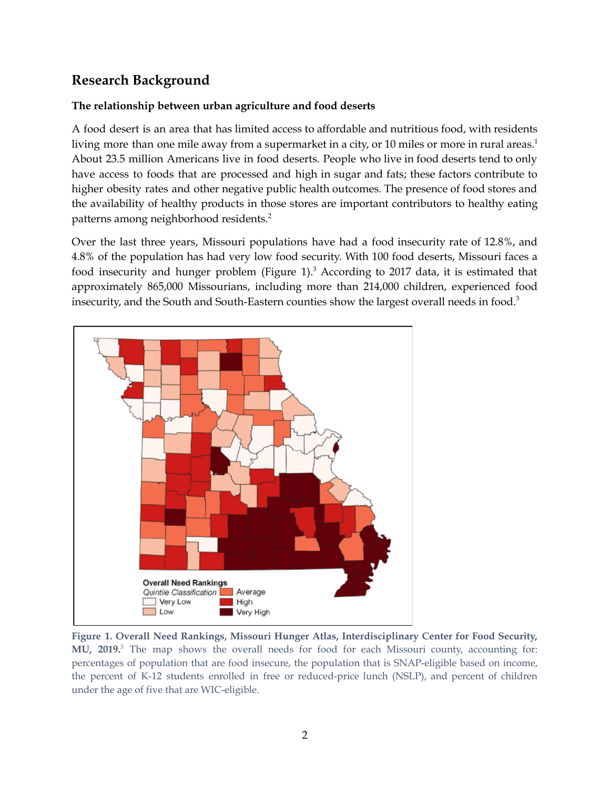## **Research Background**

#### **The relationship between urban agriculture and food deserts**

A food desert is an area that has limited access to affordable and nutritious food, with residents living more than one mile away from a supermarket in a city, or 10 miles or more in rural areas. 1 About 23.5 million Americans live in food deserts. People who live in food deserts tend to only have access to foods that are processed and high in sugar and fats; these factors contribute to higher obesity rates and other negative public health outcomes. The presence of food stores and the availability of healthy products in those stores are important contributors to healthy eating patterns among neighborhood residents. 2

Over the last three years, Missouri populations have had a food insecurity rate of 12.8%, and 4.8% of the population has had very low food security. With 100 food deserts, Missouri faces a food insecurity and hunger problem (Figure 1).<sup>3</sup> According to 2017 data, it is estimated that approximately 865,000 Missourians, including more than 214,000 children, experienced food insecurity, and the South and South-Eastern counties show the largest overall needs in food. 3



**Figure 1. Overall Need Rankings, Missouri Hunger Atlas, Interdisciplinary Center for Food Security, MU, 2019.** <sup>3</sup> The map shows the overall needs for food for each Missouri county, accounting for: percentages of population that are food insecure, the population that is SNAP-eligible based on income, the percent of K-12 students enrolled in free or reduced-price lunch (NSLP), and percent of children under the age of five that are WIC-eligible.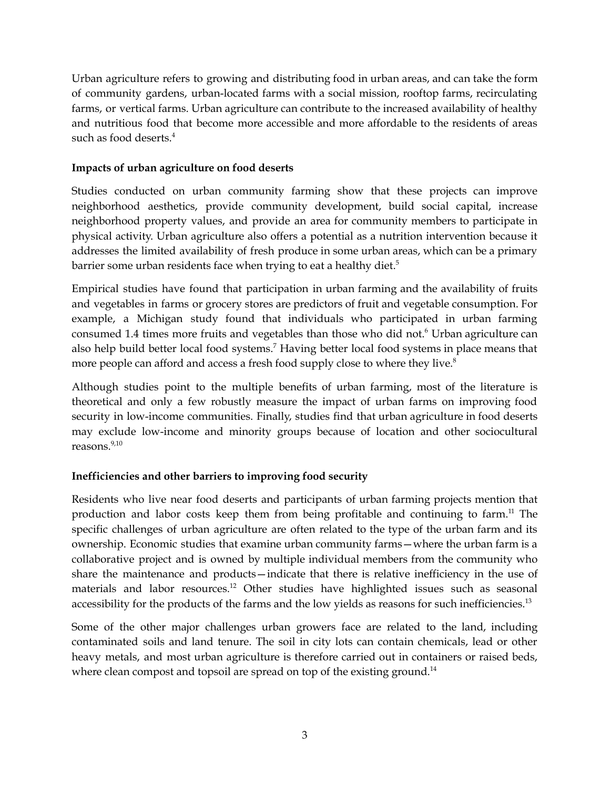Urban agriculture refers to growing and distributing food in urban areas, and can take the form of community gardens, urban-located farms with a social mission, rooftop farms, recirculating farms, or vertical farms. Urban agriculture can contribute to the increased availability of healthy and nutritious food that become more accessible and more affordable to the residents of areas such as food deserts. 4

#### **Impacts of urban agriculture on food deserts**

Studies conducted on urban community farming show that these projects can improve neighborhood aesthetics, provide community development, build social capital, increase neighborhood property values, and provide an area for community members to participate in physical activity. Urban agriculture also offers a potential as a nutrition intervention because it addresses the limited availability of fresh produce in some urban areas, which can be a primary barrier some urban residents face when trying to eat a healthy diet.<sup>5</sup>

Empirical studies have found that participation in urban farming and the availability of fruits and vegetables in farms or grocery stores are predictors of fruit and vegetable consumption. For example, a Michigan study found that individuals who participated in urban farming consumed 1.4 times more fruits and vegetables than those who did not. <sup>6</sup> Urban agriculture can also help build better local food systems. <sup>7</sup> Having better local food systems in place means that more people can afford and access a fresh food supply close to where they live. 8

Although studies point to the multiple benefits of urban farming, most of the literature is theoretical and only a few robustly measure the impact of urban farms on improving food security in low-income communities. Finally, studies find that urban agriculture in food deserts may exclude low-income and minority groups because of location and other sociocultural reasons. 9,10

#### **Inefficiencies and other barriers to improving food security**

Residents who live near food deserts and participants of urban farming projects mention that production and labor costs keep them from being profitable and continuing to farm.<sup>11</sup> The specific challenges of urban agriculture are often related to the type of the urban farm and its ownership. Economic studies that examine urban community farms—where the urban farm is a collaborative project and is owned by multiple individual members from the community who share the maintenance and products—indicate that there is relative inefficiency in the use of materials and labor resources. <sup>12</sup> Other studies have highlighted issues such as seasonal accessibility for the products of the farms and the low yields as reasons for such inefficiencies.<sup>13</sup>

Some of the other major challenges urban growers face are related to the land, including contaminated soils and land tenure. The soil in city lots can contain chemicals, lead or other heavy metals, and most urban agriculture is therefore carried out in containers or raised beds, where clean compost and topsoil are spread on top of the existing ground.<sup>14</sup>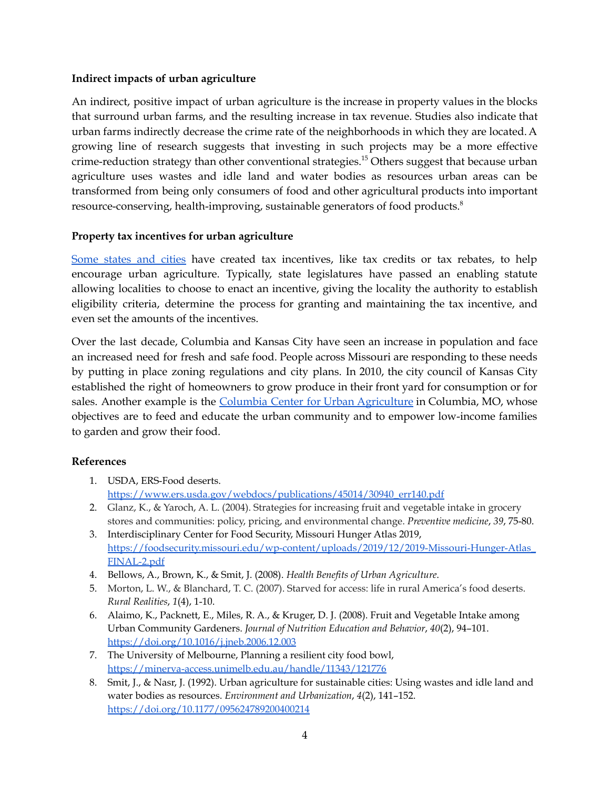#### **Indirect impacts of urban agriculture**

An indirect, positive impact of urban agriculture is the increase in property values in the blocks that surround urban farms, and the resulting increase in tax revenue. Studies also indicate that urban farms indirectly decrease the crime rate of the neighborhoods in which they are located.A growing line of research suggests that investing in such projects may be a more effective crime-reduction strategy than other conventional strategies. <sup>15</sup> Others suggest that because urban agriculture uses wastes and idle land and water bodies as resources urban areas can be transformed from being only consumers of food and other agricultural products into important resource-conserving, health-improving, sustainable generators of food products. 8

#### **Property tax incentives for urban agriculture**

Some [states](https://docs.google.com/document/d/1JXY90nI0Om97kpxO89hpDgcyjfSZtv65gtq6s49Qsa8/edit) and cities have created tax incentives, like tax credits or tax rebates, to help encourage urban agriculture. Typically, state legislatures have passed an enabling statute allowing localities to choose to enact an incentive, giving the locality the authority to establish eligibility criteria, determine the process for granting and maintaining the tax incentive, and even set the amounts of the incentives.

Over the last decade, Columbia and Kansas City have seen an increase in population and face an increased need for fresh and safe food. People across Missouri are responding to these needs by putting in place zoning regulations and city plans. In 2010, the city council of Kansas City established the right of homeowners to grow produce in their front yard for consumption or for sales. Another example is the Columbia Center for Urban [Agriculture](https://www.columbiaurbanag.org/) in Columbia, MO, whose objectives are to feed and educate the urban community and to empower low-income families to garden and grow their food.

#### **References**

- 1. USDA, ERS-Food deserts. [https://www.ers.usda.gov/webdocs/publications/45014/30940\\_err140.pdf](https://www.ers.usda.gov/webdocs/publications/45014/30940_err140.pdf)
- 2. Glanz, K., & Yaroch, A. L. (2004). Strategies for increasing fruit and vegetable intake in grocery stores and communities: policy, pricing, and environmental change. *Preventive medicine*, *39*, 75-80.
- 3. Interdisciplinary Center for Food Security, Missouri Hunger Atlas 2019, [https://foodsecurity.missouri.edu/wp-content/uploads/2019/12/2019-Missouri-Hunger-Atlas\\_](https://foodsecurity.missouri.edu/wp-content/uploads/2019/12/2019-Missouri-Hunger-Atlas_FINAL-2.pdf) [FINAL-2.pdf](https://foodsecurity.missouri.edu/wp-content/uploads/2019/12/2019-Missouri-Hunger-Atlas_FINAL-2.pdf)
- 4. Bellows, A., Brown, K., & Smit, J. (2008). *Health Benefits of Urban Agriculture*.
- 5. Morton, L. W., & Blanchard, T. C. (2007). Starved for access: life in rural America's food deserts. *Rural Realities*, *1*(4), 1-10.
- 6. Alaimo, K., Packnett, E., Miles, R. A., & Kruger, D. J. (2008). Fruit and Vegetable Intake among Urban Community Gardeners. *Journal of Nutrition Education and Behavior*, *40*(2), 94–101. <https://doi.org/10.1016/j.jneb.2006.12.003>
- 7. The University of Melbourne, Planning a resilient city food bowl, <https://minerva-access.unimelb.edu.au/handle/11343/121776>
- 8. Smit, J., & Nasr, J. (1992). Urban agriculture for sustainable cities: Using wastes and idle land and water bodies as resources. *Environment and Urbanization*, *4*(2), 141–152[.](https://doi.org/10.1177/095624789200400214) <https://doi.org/10.1177/095624789200400214>